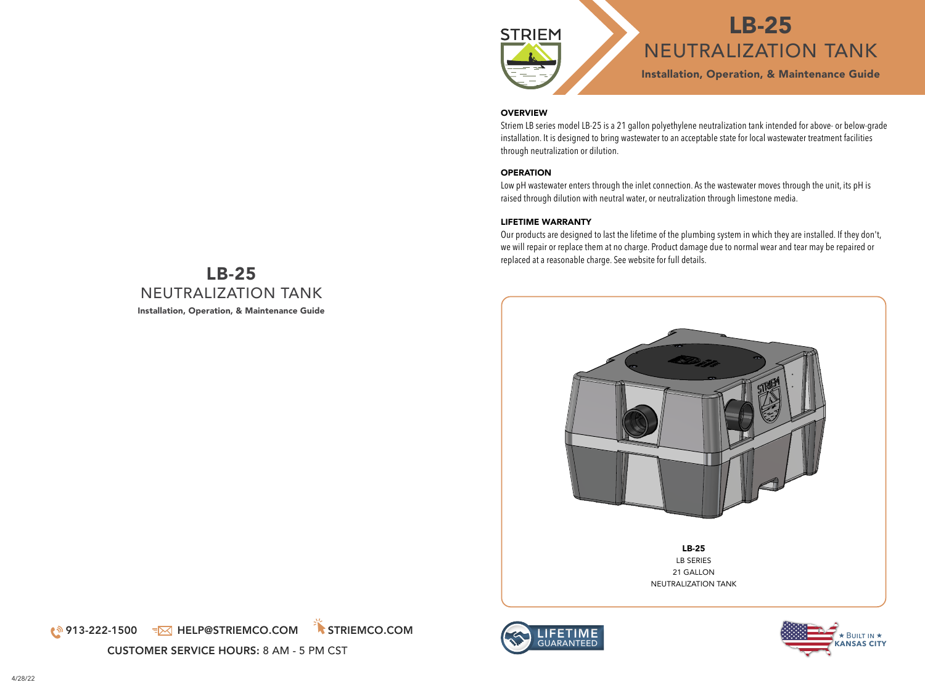

#### **OVERVIEW**

Striem LB series model LB-25 is a 21 gallon polyethylene neutralization tank intended for above- or below-grade installation. It is designed to bring wastewater to an acceptable state for local wastewater treatment facilities through neutralization or dilution.

### **OPERATION**

Low pH wastewater enters through the inlet connection. As the wastewater moves through the unit, its pH is raised through dilution with neutral water, or neutralization through limestone media.

#### LIFETIME WARRANTY

Our products are designed to last the lifetime of the plumbing system in which they are installed. If they don't, we will repair or replace them at no charge. Product damage due to normal wear and tear may be repaired or replaced at a reasonable charge. See website for full details.







# LB-25 NEUTRALIZATION TANK Installation, Operation, & Maintenance Guide

(<sup>1</sup>913-222-1500 =⊠ HELP@STRIEMCO.COM STRIEMCO.COM

CUSTOMER SERVICE HOURS: 8 AM - 5 PM CST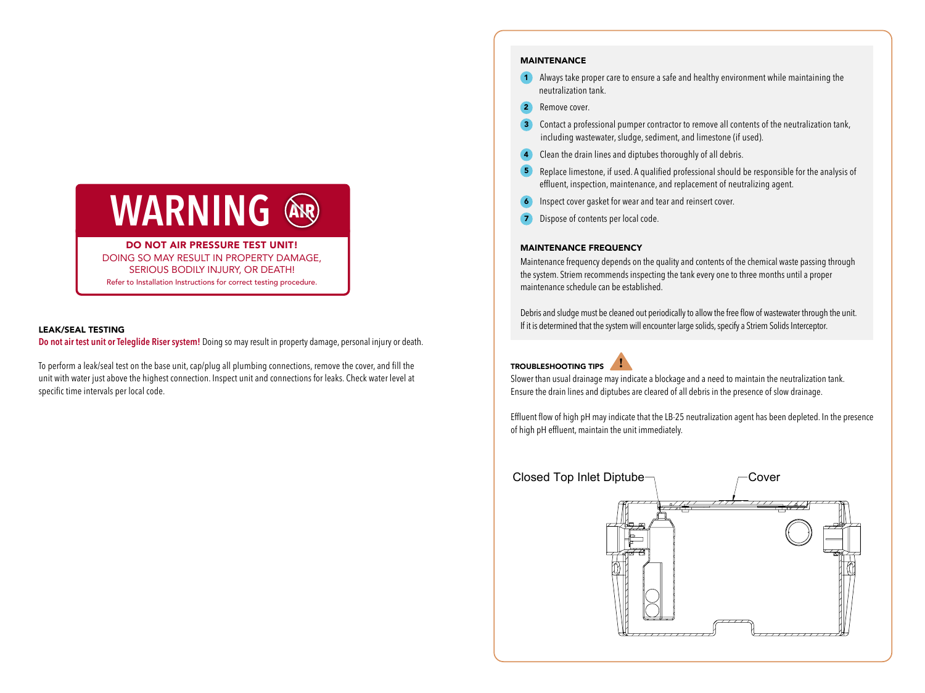

DO NOT AIR PRESSURE TEST UNIT! DOING SO MAY RESULT IN PROPERTY DAMAGE, SERIOUS BODILY INJURY, OR DEATH! Refer to Installation Instructions for correct testing procedure.

#### LEAK/SEAL TESTING

**Do not air test unit or Teleglide Riser system!** Doing so may result in property damage, personal injury or death.

To perform a leak/seal test on the base unit, cap/plug all plumbing connections, remove the cover, and fill the unit with water just above the highest connection. Inspect unit and connections for leaks. Check water level at specific time intervals per local code.

#### MAINTENANCE

- <sup>1</sup> Always take proper care to ensure a safe and healthy environment while maintaining the neutralization tank.
- <sup>2</sup> Remove cover.
- **3** Contact a professional pumper contractor to remove all contents of the neutralization tank, including wastewater, sludge, sediment, and limestone (if used).
- **4** Clean the drain lines and diptubes thoroughly of all debris.
- <sup>5</sup> Replace limestone, if used. A qualified professional should be responsible for the analysis of effluent, inspection, maintenance, and replacement of neutralizing agent.
- <sup>6</sup> Inspect cover gasket for wear and tear and reinsert cover.
- <sup>7</sup> Dispose of contents per local code.

#### **MAINTENANCE FREQUENCY**

Maintenance frequency depends on the quality and contents of the chemical waste passing through the system. Striem recommends inspecting the tank every one to three months until a proper maintenance schedule can be established.

Debris and sludge must be cleaned out periodically to allow the free flow of wastewater through the unit. If it is determined that the system will encounter large solids, specify a Striem Solids Interceptor.

#### TROUBLESHOOTING TIPS **!**



Slower than usual drainage may indicate a blockage and a need to maintain the neutralization tank. Ensure the drain lines and diptubes are cleared of all debris in the presence of slow drainage.

Effluent flow of high pH may indicate that the LB-25 neutralization agent has been depleted. In the presence of high pH effluent, maintain the unit immediately.